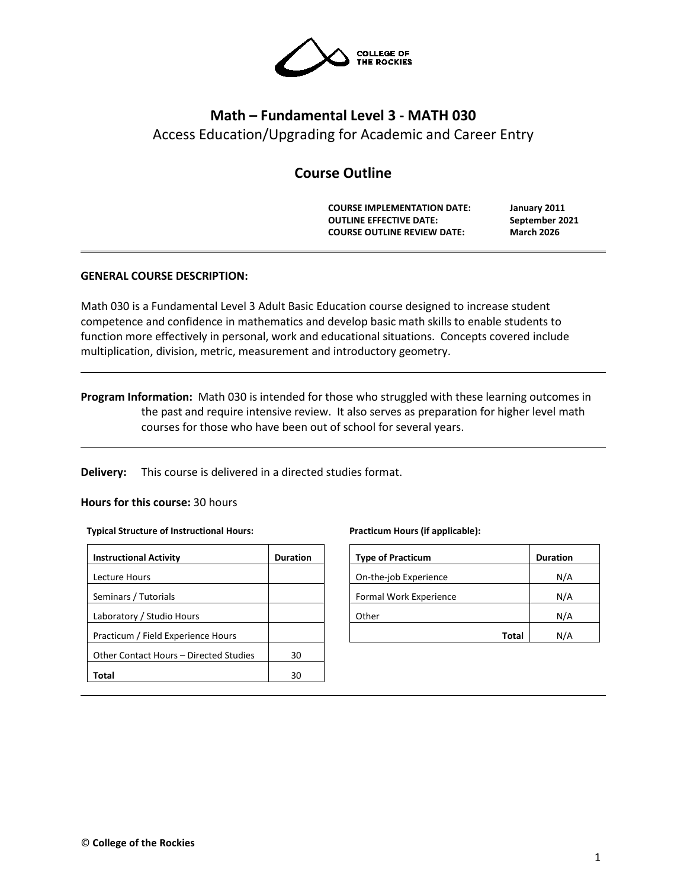

# **Math – Fundamental Level 3 - MATH 030** Access Education/Upgrading for Academic and Career Entry

## **Course Outline**

**COURSE IMPLEMENTATION DATE: January 2011 OUTLINE EFFECTIVE DATE: September 2021 COURSE OUTLINE REVIEW DATE: March 2026**

## **GENERAL COURSE DESCRIPTION:**

Math 030 is a Fundamental Level 3 Adult Basic Education course designed to increase student competence and confidence in mathematics and develop basic math skills to enable students to function more effectively in personal, work and educational situations. Concepts covered include multiplication, division, metric, measurement and introductory geometry.

**Program Information:** Math 030 is intended for those who struggled with these learning outcomes in the past and require intensive review. It also serves as preparation for higher level math courses for those who have been out of school for several years.

**Delivery:** This course is delivered in a directed studies format.

## **Hours for this course:** 30 hours

#### **Typical Structure of Instructional Hours:**

| <b>Instructional Activity</b>          | <b>Duration</b> |
|----------------------------------------|-----------------|
| Lecture Hours                          |                 |
| Seminars / Tutorials                   |                 |
| Laboratory / Studio Hours              |                 |
| Practicum / Field Experience Hours     |                 |
| Other Contact Hours – Directed Studies | 30              |
| Total                                  | 30              |

#### **Practicum Hours (if applicable):**

| <b>Type of Practicum</b> | <b>Duration</b> |
|--------------------------|-----------------|
| On-the-job Experience    | N/A             |
| Formal Work Experience   | N/A             |
| Other                    | N/A             |
| Total                    | N/A             |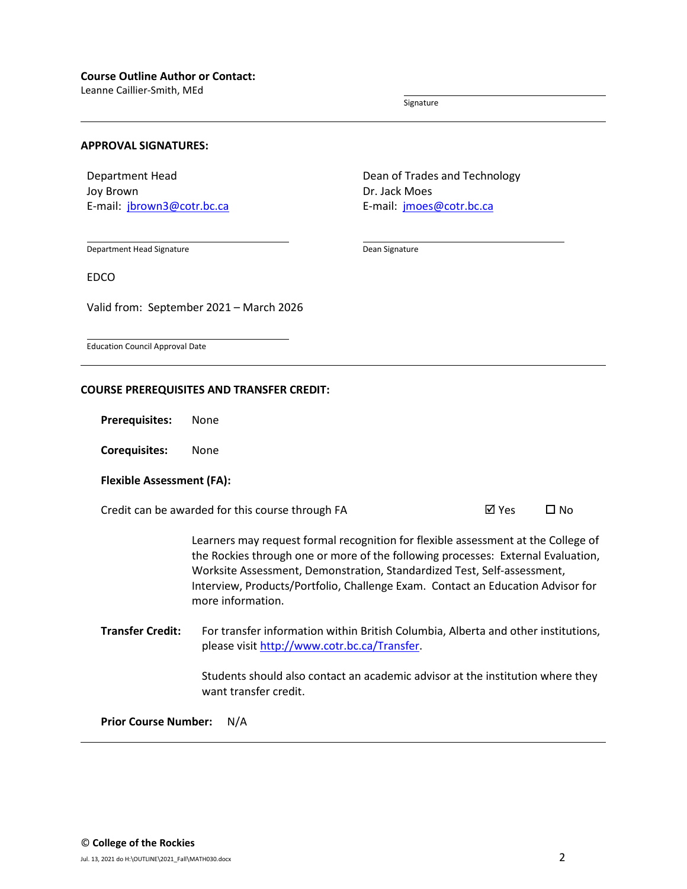Leanne Caillier-Smith, MEd

Signature

Dean Signature

#### **APPROVAL SIGNATURES:**

Department Head Joy Brown E-mail: [jbrown3@cotr.bc.ca](mailto:jbrown3@cotr.bc.ca) Dean of Trades and Technology Dr. Jack Moes E-mail: [jmoes@cotr.bc.ca](mailto:jmoes@cotr.bc.ca)

Department Head Signature

EDCO

Valid from: September 2021 – March 2026

Education Council Approval Date

#### **COURSE PREREQUISITES AND TRANSFER CREDIT:**

**Prerequisites:** None

**Corequisites:** None

#### **Flexible Assessment (FA):**

Credit can be awarded for this course through FA  $\boxtimes$  Yes  $\Box$  No

Learners may request formal recognition for flexible assessment at the College of the Rockies through one or more of the following processes: External Evaluation, Worksite Assessment, Demonstration, Standardized Test, Self-assessment, Interview, Products/Portfolio, Challenge Exam. Contact an Education Advisor for more information.

**Transfer Credit:** For transfer information within British Columbia, Alberta and other institutions, please visit [http://www.cotr.bc.ca/Transfer.](http://www.cotr.bc.ca/Transfer)

> Students should also contact an academic advisor at the institution where they want transfer credit.

**Prior Course Number:** N/A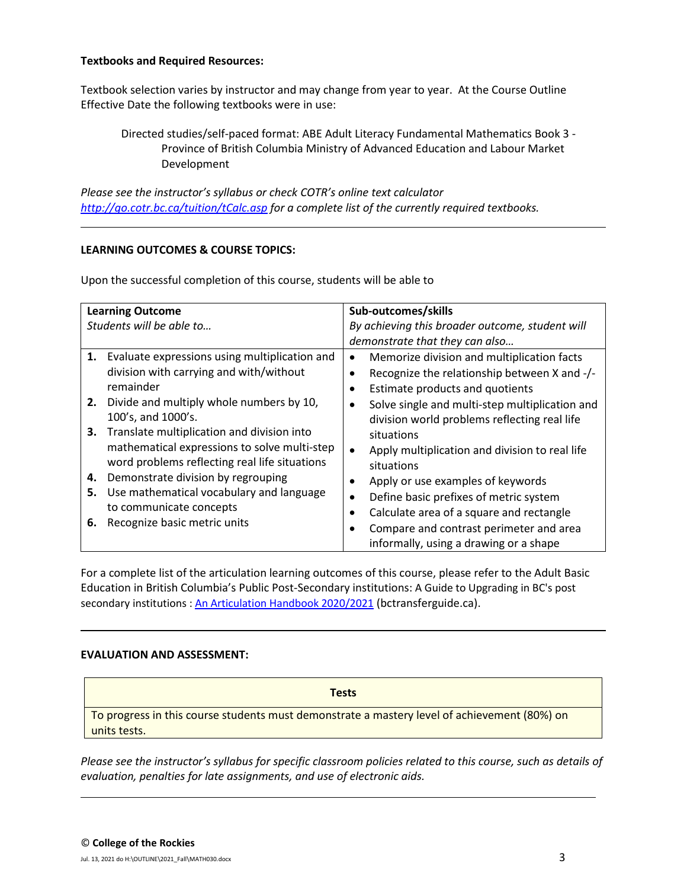#### **Textbooks and Required Resources:**

Textbook selection varies by instructor and may change from year to year. At the Course Outline Effective Date the following textbooks were in use:

Directed studies/self-paced format: ABE Adult Literacy Fundamental Mathematics Book 3 - Province of British Columbia Ministry of Advanced Education and Labour Market Development

*Please see the instructor's syllabus or check COTR's online text calculator <http://go.cotr.bc.ca/tuition/tCalc.asp> for a complete list of the currently required textbooks.*

## **LEARNING OUTCOMES & COURSE TOPICS:**

Upon the successful completion of this course, students will be able to

| <b>Learning Outcome</b>                                                                                                                                                                                                                                                                                                                                                                                                                                                                              | Sub-outcomes/skills                                                                                                                                                                                                                                                                                                                                                                                                                                                                                           |
|------------------------------------------------------------------------------------------------------------------------------------------------------------------------------------------------------------------------------------------------------------------------------------------------------------------------------------------------------------------------------------------------------------------------------------------------------------------------------------------------------|---------------------------------------------------------------------------------------------------------------------------------------------------------------------------------------------------------------------------------------------------------------------------------------------------------------------------------------------------------------------------------------------------------------------------------------------------------------------------------------------------------------|
| Students will be able to                                                                                                                                                                                                                                                                                                                                                                                                                                                                             | By achieving this broader outcome, student will                                                                                                                                                                                                                                                                                                                                                                                                                                                               |
|                                                                                                                                                                                                                                                                                                                                                                                                                                                                                                      | demonstrate that they can also                                                                                                                                                                                                                                                                                                                                                                                                                                                                                |
| 1. Evaluate expressions using multiplication and<br>division with carrying and with/without<br>remainder<br>Divide and multiply whole numbers by 10,<br>2.<br>100's, and 1000's.<br>Translate multiplication and division into<br>3.<br>mathematical expressions to solve multi-step<br>word problems reflecting real life situations<br>Demonstrate division by regrouping<br>4.<br>Use mathematical vocabulary and language<br>5.<br>to communicate concepts<br>Recognize basic metric units<br>6. | Memorize division and multiplication facts<br>$\bullet$<br>Recognize the relationship between X and -/-<br>Estimate products and quotients<br>Solve single and multi-step multiplication and<br>division world problems reflecting real life<br>situations<br>Apply multiplication and division to real life<br>$\bullet$<br>situations<br>Apply or use examples of keywords<br>Define basic prefixes of metric system<br>Calculate area of a square and rectangle<br>Compare and contrast perimeter and area |
|                                                                                                                                                                                                                                                                                                                                                                                                                                                                                                      | informally, using a drawing or a shape                                                                                                                                                                                                                                                                                                                                                                                                                                                                        |

For a complete list of the articulation learning outcomes of this course, please refer to the Adult Basic Education in British Columbia's Public Post-Secondary institutions: A Guide to Upgrading in BC's post secondary institutions : [An Articulation Handbook 2020/2021](https://www.bctransferguide.ca/docs/ABE2020.pdf) (bctransferguide.ca).

## **EVALUATION AND ASSESSMENT:**

| <b>Tests</b>                                                                                                 |  |
|--------------------------------------------------------------------------------------------------------------|--|
| To progress in this course students must demonstrate a mastery level of achievement (80%) on<br>units tests. |  |

*Please see the instructor's syllabus for specific classroom policies related to this course, such as details of evaluation, penalties for late assignments, and use of electronic aids.*